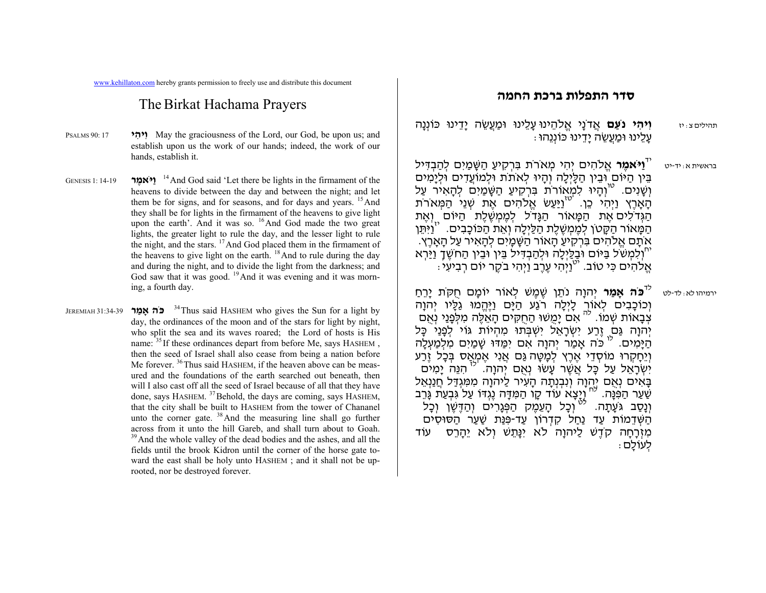www.kehillaton.com hereby grants permission to freely use and distribute this document

## The Birkat Hachama Prayers

- PSALMS 90: 17 **<sup>י</sup> ִ יה ִו** May the graciousness of the Lord, our God, be upon us; and establish upon us the work of our hands; indeed, the work of our hands, establish it.
- GENESIS 1: 14-19**<sup>14</sup>** And God said 'Let there be lights in the firmament of the heavens to divide between the day and between the night; and let them be for signs, and for seasons, and for days and years. <sup>15</sup> And they shall be for lights in the firmament of the heavens to give light upon the earth'. And it was so. <sup>16</sup>And God made the two great lights, the greater light to rule the day, and the lesser light to rule the night, and the stars. <sup>17</sup>And God placed them in the firmament of the heavens to give light on the earth. <sup>18</sup> And to rule during the day and during the night, and to divide the light from the darkness; and God saw that it was good.  $^{19}$  And it was evening and it was morning, a fourth day.
- JEREMIAH 31:34-39 **<sup>ר</sup> ַאָמ <sup>ה</sup>ֹכּ** 34Thus said HASHEM who gives the Sun for a light by day, the ordinances of the moon and of the stars for light by night, who split the sea and its waves roared; the Lord of hosts is His name: <sup>35</sup> If these ordinances depart from before Me, says HASHEM, then the seed of Israel shall also cease from being a nation before Me forever. <sup>36</sup>Thus said HASHEM, if the heaven above can be measured and the foundations of the earth searched out beneath, then will I also cast off all the seed of Israel because of all that they have done, says HASHEM. <sup>37</sup>Behold, the days are coming, says HASHEM, that the city shall be built to HASHEM from the tower of Chananel unto the corner gate. <sup>38</sup>And the measuring line shall go further across from it unto the hill Gareb, and shall turn about to Goah. <sup>39</sup> And the whole valley of the dead bodies and the ashes, and all the fields until the brook Kidron until the corner of the horse gate toward the east shall be holy unto HASHEM ; and it shall not be uprooted, nor be destroyed forever.

## **סדר התפלות ברכת החמה**

- תהילים <sup>צ</sup>:יז **וִ יה ִ <sup>י</sup> נֹעַ <sup>ם</sup>** אֲ דֹנָי אֱ לֹהֵ ינוּ עָ לֵ ינוּ וּמַ עֲשֵׂ <sup>ה</sup> יָדֵ ינוּ כּוֹנְ נָה : עַלינוּ וּמַעַשׂה יִדינוּ כּוֹננהוּ
- בראשית א:יד-יט **ֿוַיֹּאמֶר** אֱלֹהִים יְהִי מְאֹרֹת בִּרְקִיעַ הַשָּׁמַיִם לְהַבְדִּיל<br>בֵּין הַיּוֹם וּבֵין הַלַּיְלֵה וְהַיוּ לָאתֹת וּלְמוֹעֲדִים וּלִיַמִּים וְשֶׁנִים. <sup>טו</sup>וְהַיוּ לִמְאוֹרוֹת בִּרְקִיעַ הַשֶּׁמַיִם לְהַאִיר עַל הָאָרֶץ וַיְהִי כֵן. <sup>יטו</sup>וַיַּעַשׂ אֱלֹהִים אֶת שְׁנֵי הַמְּאֹרֹת<br>הַגְּדֹלִים אֶת הַמָּאוֹר הַגָּדֹל לְמֶמְשֶׁלֶת הַיּוֹם וָאֵת הַמָּאוֹר הַקָּטֹן לְמֶמְשֶׁלֶת הַלַּיְלָה וְאֵת הַכּוֹכָבִים. <sup>יו</sup>וַיִּתֵן<br>אתם אֱלֹהִים בְּרִקִיעַ הַאוֹר הַשֶּׁמַיִם לִהָאִיר עַל הַאֲרֵץ. אֹתָם אֱלֹהִים בִּרְקִיעַ הָאוֹר הַשָּׁמָיִם לְהָאִיר עַל הָאָרֶץ.<br>יןְלִמְשֹׁל בַּיּוֹם וּבֲלַיְלָה וּלְהַבְדִּיל בֵּין וּבֵין הַחֹשֶׁךָ וַיַּרְא ּי עֲרָה יִ י<sup>ט</sup>וַיְהִי עֶרֶב וַיְהִי בֹקֶר יוֹם רְבִיעִי:

<sup>כֹּד</sup>**ּ בֹּה אָמַר** יְהוָה נֹתֵן שֶׁמֶשׁ לְאוֹר יוֹמָם חֻקֹּת יָרֵחַ וְכוֹכָבִים לְאוֹר לָיְלָה רֹגַע הַיָּם וַיֶּהֱמוּ גַּלֶּיו יְהוָה<br>צְבָאוֹת שְׁמוֹ. <sup>כֹה</sup> אִם יָמֻשׁוּ הַחֻקִּים הָאֵלֶּה מִלְּפָנַי וְאֻם יְהוָה גַּם זֶרַע יִשְׂרָאֵל יִשְׁבְּתוּ מְהִיוֹת גּוֹי לִפְנַי כָּל הַיָּמִים. <sup>לו</sup> כֹּה אָמַר יְהוָה אִם יִמַּדוּ שָׁמַיִם מִלְמַעְלָה וְיֵחָקְרוּ מוֹסְדֵי אֶרֶץ לְמָטָה גַּם אֲנִי אֶמְאַס בְּכָל זֶרַע<br>יִשְׂרָאֵל עַל כָּל אֲשֶׁר עָשׂוּ וְאֶם יְהוָה. <sup>לו</sup> הִנֵּה יָמִים בָּאִים נְאֻם יְהָנָה וְנִבְנְתָה הָעִיר לַיהוָה מִמִּגְדַל חֲנַנְאֵל<br>שַׁעַר הַפִּנָּה. <sup>יח</sup> וְיֶצָא עוֹד קֶו הַמִּדָּה נֶגְדּוֹ עַל גִּבְעַת גָּרֵב<br>וְנַסַב גֹּעֵתָה. <sup>יכי</sup> וְכָל הָעֵמֶק הַפְּגָרִים וְהַדֶּשֶׁן וְכָל הַשְּׁדֵמוֹת עַד נַחַל קִדְרוֹן עַד-פִּנַּת שַׁעַר הַסּוּסִים מִוְרָחָה קֹדֶשׁ לַיהוָה לֹא יִנָּתֵשׁ וְלֹא יֵהָרֵס ּ עוֹד לִעוֹלִם

ירמיהו לא: לד-לט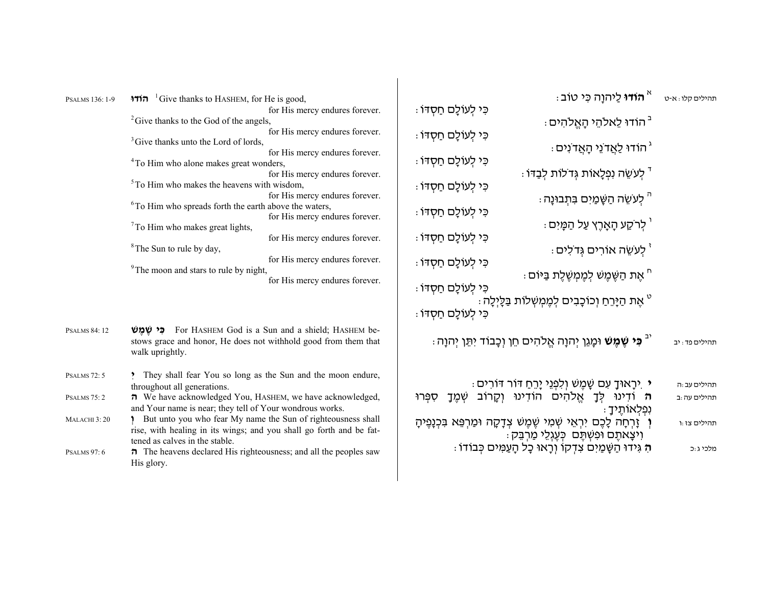| PSALMS 136: 1-9         | <del>וודו</del> <sup>1</sup> Give thanks to HASHEM, for He is good,                                                                                                                                  | <del>" הודו</del> לַיהוַה כִּי טוֹב "                                                                                 | תהילים קלו : א-ט |
|-------------------------|------------------------------------------------------------------------------------------------------------------------------------------------------------------------------------------------------|-----------------------------------------------------------------------------------------------------------------------|------------------|
|                         | for His mercy endures forever.<br><sup>2</sup> Give thanks to the God of the angels,                                                                                                                 | ּכִּי לְעוֹלָם חַסְדּוֹ :<br><sup>-</sup> הודוּ לֵאלהֵי הָאֱלהִים :                                                   |                  |
|                         | for His mercy endures forever.<br><sup>3</sup> Give thanks unto the Lord of lords,<br>for His mercy endures forever.                                                                                 | ּכִּי לְעוֹלָם חַסְדּוֹ :<br>ֿ הוֹדוּ לַאֲדֹנֵי הָאֲדֹנִים (                                                          |                  |
|                         | <sup>4</sup> To Him who alone makes great wonders,<br>for His mercy endures forever.                                                                                                                 | ּכִּי לְעוֹלָם חַסְדּוֹ :<br>ּ לְעִשֶׂה נְפְלָאוֹת גְּדֹלוֹת לְבַדּוֹ :                                               |                  |
|                         | $5$ To Him who makes the heavens with wisdom,<br>for His mercy endures forever.                                                                                                                      | ּכִּי לְעוֹלָם חַסְדּוֹ :                                                                                             |                  |
|                         | <sup>6</sup> To Him who spreads forth the earth above the waters,<br>for His mercy endures forever.                                                                                                  | ּ" לִעִשֶׁה הַשָּׁמַיִם בִּתְבוּנָה ּ<br>ּכִּי לְעוֹלָם חַסְדּוֹ :                                                    |                  |
|                         | $7$ To Him who makes great lights,<br>for His mercy endures forever.                                                                                                                                 | ּ' לִרֹקַע הָאָרֶץ עַל הַמָּיִם (<br>ּכִּי לְעוֹלָם חַסְדּוֹ :                                                        |                  |
|                         | <sup>8</sup> The Sun to rule by day,<br>for His mercy endures forever.                                                                                                                               | <sup>י</sup> לִעשֵׂה אוֹרִים גְדֹלִים :<br>ּכִּי לְעוֹלָם חַסְדּוֹ :                                                  |                  |
|                         | <sup>9</sup> The moon and stars to rule by night,<br>for His mercy endures forever.                                                                                                                  | ּ" אֶת הַשֶּׁמֶשׁ לִמֶּמְשֶׁלֶת בַּיּוֹם :<br>ּכִּי לְעוֹלָם חַסְדּוֹ :                                               |                  |
|                         |                                                                                                                                                                                                      | <sup>ּט</sup> אֶת הַיָּרֵחַ וְכוֹכָבִים לְמֶמְשְׁלוֹת בַּלָּיְלָה :<br>ּכִּי לְעוֹלַם חַסְדּוֹ :                      |                  |
| <b>PSALMS 84:12</b>     | <b>estable is a Sun and a shield; HASHEM be- estable in Sun Explorer Cod is a Sun and a shield; HASHEM be-</b><br>stows grace and honor, He does not withhold good from them that<br>walk uprightly. | <sup>יב</sup> <b>כִּי שֵׁמֵשׁ</b> וּמָגֵן יִהוָה אֱלֹהִים חֵן וִכָּבוֹד יִתֵּן יִהוָה ּ.                              | תהילים פד: יב    |
| <b>PSALMS</b> 72:5      | They shall fear You so long as the Sun and the moon endure,<br>throughout all generations.                                                                                                           | ּי יִרְאוּךָ עִם שֶׁמֶשׁ וְלִפְנֵי יָרֵחַ דּוֹר דּוֹרִים ּ                                                            | תהילים עב:ה      |
| PSALMS <sub>75</sub> :2 | <b><math>\pi</math></b> We have acknowledged You, HASHEM, we have acknowledged,<br>and Your name is near; they tell of Your wondrous works.                                                          | ה וֹדִינוּ לִךָ אֱלֹהִים הוֹדִינוּ וְקָרוֹב שְׁמֶךָ<br>ספרו<br>ּנִפְלָאוֹתֵיךָ                                        | תהילים עה:ב      |
| MALACHI 3:20            | 1 But unto you who fear My name the Sun of righteousness shall<br>rise, with healing in its wings; and you shall go forth and be fat-                                                                | ו זָרְחָה לָכֶם יִרְאֵי שָׁמִי שֶׁמֶשׁ צִדָּקָה וּמַרְפֵּא בִּכְנָפֶיהָ<br>וִיצְאתֶם וּפִשְׁתֶּם כְּעֶגְלֵי מַרְבֵּק: | תהילים צז:ו      |
| <b>PSALMS 97:6</b>      | tened as calves in the stable.<br>$\pi$ The heavens declared His righteousness; and all the peoples saw<br>His glory.                                                                                | ּהָ גִּידוּ הַשָּׁמַיִם צִדְקוֹ וִרָאוּ כָל הָעַמִּים כִּבוֹדוֹ :                                                     | מלכי ג:כ         |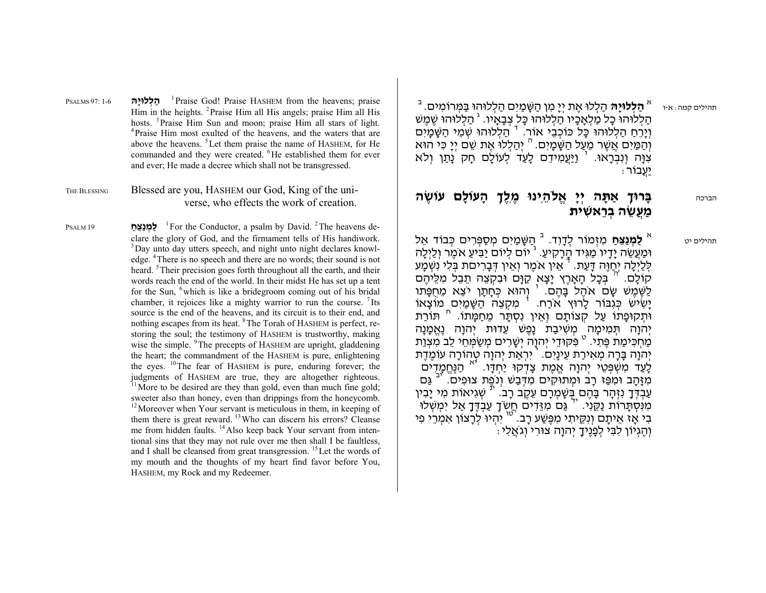ה<sub>ּי</sub>יט קמה: א-ו <sup>א</sup> **הַלְלוּיָהּ** הַלְלוּ אֶת יְיָ מִן הַשָּׁמַיִם הַלְלוּהוּ בַּמְּרוֹמִים. <sup>ב</sup> הַלְלוּהוּ כָל מַלְאָכָיו הַלְלוּהוּ כָּל צְבָאָיו. <sup>ג</sup> הַלְלוּהוּ שֶׁמֶשׁ<br>וְיָרֶחַ הַלִלוּהוּ כַּל כּוֹכְבֵי אוֹר. <sup>ד</sup> הַלְלוּהוּ שָׁמֵי הַשֶּׁמַיִם וְהַמַּיִם אֲשֶׁר מֵעַל הַשֶּׁמַיִם. <sup>ה</sup> יְהַלְלוּ אֶת שֵׁם יִיַ כִּי הוּא ּצְנָּה וְנִבְרָאוּ. <sup>ו</sup> וַיַּעֲמִידֵם לָעַד לְעוֹלָם חָק נָתַן וְלֹא<br>יַעֲבוֹר

## **ה עוֹ ֶשׂ ם עוָֹל לֹהֵ ֽינוּ ֶמ ֶ ֽל ְך ָה ה יְ ָי ֱא אַ ָתּ רוּ ְך** הברכה **ָבּ ית רֵ א ִשׁ ה ְב ֲע ֵשׂ ַמ**

דָ וִ <sup>ד</sup>. <sup>א</sup> תהילים יט הַ שָּׁ מַ יִ <sup>ם</sup> <sup>מ</sup> ְ סַ פּ ְ <sup>ר</sup> ִ ים כּ ְ בוֹד אֵ <sup>ל</sup> <sup>ב</sup> **לַ <sup>מ</sup> ְ נַצּ ַ ֵ <sup>ח</sup>** <sup>מ</sup> ִ זְ מוֹר ְל וּמַעֲשֵׂה יָדָיו מַגִּיד הֲרָקִיעַ. <sup>ג</sup> יוֹם לְיוֹם יַבִּיעַ אֹמֶר וְלַיְלָה<br>לְלַיְלָה יְחַוֶּה דָּעַת. <sup>ד</sup> אֵין אֹמֶר וְאֵין דְּבָרִיםת בְּלִי נִשְּׁמָע לְלַיְכָה יְחַוֶּה דָּעַת. ' אֵין אֹכֶוּר וְאֵין דְּבָרִיםת בְּלִי נִשְׁמָע<br>קוֹלָם. <sup>ה</sup> בְּכָל הָאָרֶץ יָצָא קַוָּם וּבִקְצֵה תֵבֵל מִלֵּיהֶם לַשֶּׁמֶשׁ שָׂם אֹהֶל בָּהֶם. ' וְהוּא כְּחָתָן יֹצֵא מֵחֻפָּתוּ<br>יָשִׂישׂ כְּגִבּוֹר לָרוּץ אֹרַח. ' מִקְצֵה הַשָּׁמַיִם מוֹצָאוֹ<br>וּתְקוּפָתוֹ עַל קְצוֹתָם וְאֵין נִסְתָּר מֵחַמָּתוֹ. '' תּוֹרַת<br>יהוה תּמימה משִׁיבַת נַפֵּ יְהוָה תְּמִימָה מְשִׁיבַת נָפֶשׁ עֵדוּת יְהוָה נֶאֱמָנָה<br>מַחְכִּימַת פֶּתִי. ° פִּקּוּדֵי יְהוָה יְשָׁרִים מְשַׂמְּחֵי לֵב מִצְוַת יְהֹוָה בָּרָה מְאִירַת עֵינָיִם. ' יִרְאַת יְהוָה טְהוֹרָה עוֹמֶדֶת<br>לָעַד מִשְׁפְּטֵי יְהוָה אֱמֶת צָדָקוּ יַחִדָּו. '" הַגַּחֵמַדִים מְזַחֲב וּמְפֵּז רַב וּמְתוֹקִים מִדְּבָשׁ וְנֹפֵת צוּפִים. <sup>יב</sup> גַּם עַבְדֶּךָ נִזְהָר בָּהֶם בְּשָׁמְרָם עֵקֶב רָב. <sup>וֹ</sup> שְׁגִיאוֹת מִי יָבִין<br>מִנּסְתַּרוֹת נַקֵּנִי. <sup>יך</sup> גַּם מִזֶּדִים חֵשֹּךָ עַבְדֶּךָ אֲל יִמְשְׁלוּ יִ יוֹ יוֹ אֵיתַם וְנִקֶיתִי מְפֶּשֶׁע רַב. <sup>ישו</sup> יִהְיוּ לְרַצוֹן אָמְרֵי פִי ּוְהֶגְיוֹן לִבִּי לְפָנֶיךָ יְהוָה צוּרִי וְגֹאֲלִי

PSALMS 97: 1-6 **הָּלוּי ְ ל ַה** 1Praise God! Praise HASHEM from the heavens; praise Him in the heights. 2Praise Him all His angels; praise Him all His hosts. <sup>3</sup>Praise Him Sun and moon; praise Him all stars of light. <sup>4</sup>Praise Him most exulted of the heavens, and the waters that are above the heavens. 5Let them praise the name of HASHEM, for He commanded and they were created. <sup>6</sup>He established them for ever and ever; He made a decree which shall not be transgressed.

THE BLESSING Blessed are you, HASHEM our God, King of the universe, who effects the work of creation.

PSALM 19 **<sup>ח</sup> ֵ ַ צַּנ ְ <sup>מ</sup> ַל** 1For the Conductor, a psalm by David. 2The heavens declare the glory of God, and the firmament tells of His handiwork. <sup>3</sup>Day unto day utters speech, and night unto night declares knowledge. 4There is no speech and there are no words; their sound is not heard. <sup>5</sup>Their precision goes forth throughout all the earth, and their words reach the end of the world. In their midst He has set up a tent for the Sun, <sup>6</sup>which is like a bridegroom coming out of his bridal chamber, it rejoices like a mighty warrior to run the course.  $\frac{7}{1}$  Its source is the end of the heavens, and its circuit is to their end, and nothing escapes from its heat. <sup>8</sup>The Torah of HASHEM is perfect, restoring the soul; the testimony of HASHEM is trustworthy, making wise the simple. <sup>9</sup>The precepts of HASHEM are upright, gladdening the heart; the commandment of the HASHEM is pure, enlightening the eyes.  $^{10}$ The fear of HASHEM is pure, enduring forever; the judgments of HASHEM are true, they are altogether righteous.  $11$ More to be desired are they than gold, even than much fine gold; sweeter also than honey, even than drippings from the honeycomb. <sup>12</sup>Moreover when Your servant is meticulous in them, in keeping of them there is great reward. 13Who can discern his errors? Cleanse me from hidden faults. <sup>14</sup>Also keep back Your servant from intentional sins that they may not rule over me then shall I be faultless, and I shall be cleansed from great transgression.  $^{15}$  Let the words of my mouth and the thoughts of my heart find favor before You, HASHEM, my Rock and my Redeemer.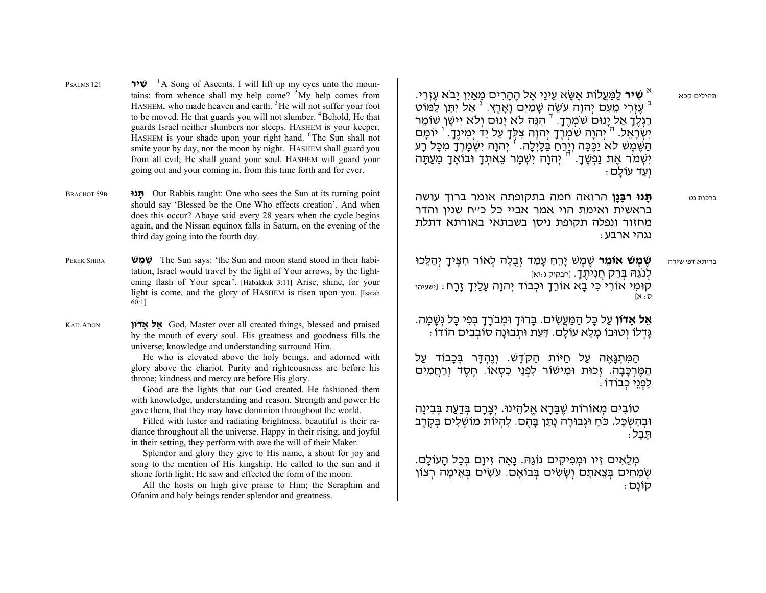- יו **שִׁיר** לַמַּעֲלוֹת אֶשֶׂא עֵינַי אֶל הֶהָרִים מֵאַיִן יָבֹא עֶזְרִי.<br>בּ עֶזְרִי מֵעִם יְהוָה עֹשֵׂה שָׁמַיִם וָאָרֶץ. <sup>ג</sup> אַל יִתֵּן לַמּוֹט<br>רַגְלֶךָ אַל יָנוּם שֹׁמְרֶךָ. <sup>ד</sup> הְגֵּה לֹא יָנוּם וְלֹא יִישָּׁן שִׁוֹמֵר יִשְׁמֹר אֶת נַפְשֶׁדָ. <sup>יֹח</sup> יְהוָה יִשְׁמָר צֵאתְדָ וּבוֹאֶדָ מֵעַתָּה<br>ועד עוֹלם
- ברכות נט **ָתּנוּ ָרבָּנן** הרואה חמה בתקופתה אומר ברוך עושה שנין והדר בראשית ואימת הוי אמר אביי כל כ"ח נגהיארבע: מחזור ונפלה תקופת ניסן בשבתאי באורתא דתלת

שֶׁ מֶ שׁ יָר ַ ֵ <sup>ח</sup> עָ מַ <sup>ד</sup> זְ בֻלָ <sup>ה</sup> ל ְ אוֹר <sup>ח</sup> ִ צּ ָ ֶ יך יְ הַ לֵּ כוּ **ר שֶׁ מֶ שׁ אוֹ ֵמ** בריתא דפ' שירהלְ נֹגַהּ בּ ְ רַ ק חֲ נִ יתָ ֶ ך. [חבקוק <sup>ג</sup>:יא] קוּמִי אוֹרִי כִּי בָא אוֹרֵךָ וּכְבוֹד יְהוָה עָלַיִךָ זָרָח: וַישעיהו ס: א]

**אֵל אַדוֹן** עַל כַּל הַמַּעֵשִׂים. בַּרוּדָ וּמִבֹרַדְ בִּפִי כַּל נִּשַּׁמַה. גָּד ְ לוֹ וְ טוּבוֹ מָ לֵ <sup>א</sup> עוֹלָ <sup>ם</sup>. דַּ עַ <sup>ת</sup> וּת ְ בוּנָה סוֹב ְ <sup>ב</sup> ִ ים הוֹדוֹ:

הַמִּתְגָאֶה עַל חַיּוֹת הַקֹּדֶשׁ. וְנֶהְדָּר בְּכָבוֹד עַל לפני כבודו : הַמֵּרְכָּבָה. זָכוּת וּמִישׁוֹר לָפְנֵי כִסְאוֹ. חִסד ורחמים

ּטוֹבִים מְאוֹרוֹת שֶׁבָּרָא אֱלֹהֵינוּ. יְצָרָם בְּדַעַת בְּבִינָה וּבְהַשְּׂכֵּל. כֹּחַ וּגְבוּרָה נָתַן בָּהֶם. לִהְיוֹת מוֹשְׁלִים בְּקֶרֶב<br>תּבל:

מלאים זיו וּמפיקים נוֹגִהּ. נִאה זיום בּכל העוֹלם. שְׂמֵחִים בְּצֵאתָם וְשָׂשִׂים בְּבוֹאָם. עֹשִׂים בְּאֵימָה רְצוֹן<br>קוֹנַם

- PSALMS 121 **יר ִ שׁ** 1A Song of Ascents. I will lift up my eyes unto the mountains: from whence shall my help come?  $2^{\frac{3}{2}}$  My help comes from HASHEM, who made heaven and earth.<sup>3</sup>He will not suffer your foot to be moved. He that guards you will not slumber. <sup>4</sup>Behold. He that guards Israel neither slumbers nor sleeps. HASHEM is your keeper, HASHEM is your shade upon your right hand. <sup>6</sup>The Sun shall not smite your by day, nor the moon by night. HASHEM shall guard you from all evil; He shall guard your soul. HASHEM will guard your going out and your coming in, from this time forth and for ever.
- BRACHOT 59B ת**ּנו** Our Rabbis taught: One who sees the Sun at its turning point should say 'Blessed be the One Who effects creation'. And when does this occur? Abaye said every 28 years when the cycle begins again, and the Nissan equinox falls in Saturn, on the evening of the third day going into the fourth day.
- PEREK SHIRA **שׁ ֶמ ֶשׁ** The Sun says: 'the Sun and moon stand stood in their habitation, Israel would travel by the light of Your arrows, by the lightening flash of Your spear'. [Habakkuk 3:11] Arise, shine, for your light is come, and the glory of HASHEM is risen upon you. [Isaiah 60:1]

KAIL ADON **אָדוֹן ל ֵא** God, Master over all created things, blessed and praised by the mouth of every soul. His greatness and goodness fills the universe; knowledge and understanding surround Him.

> He who is elevated above the holy beings, and adorned with glory above the chariot. Purity and righteousness are before his throne; kindness and mercy are before His glory.

> Good are the lights that our God created. He fashioned them with knowledge, understanding and reason. Strength and power He gave them, that they may have dominion throughout the world.

> Filled with luster and radiating brightness, beautiful is their radiance throughout all the universe. Happy in their rising, and joyful in their setting, they perform with awe the will of their Maker.

> Splendor and glory they give to His name, a shout for joy and song to the mention of His kingship. He called to the sun and it shone forth light; He saw and effected the form of the moon.

> All the hosts on high give praise to Him; the Seraphim and Ofanim and holy beings render splendor and greatness.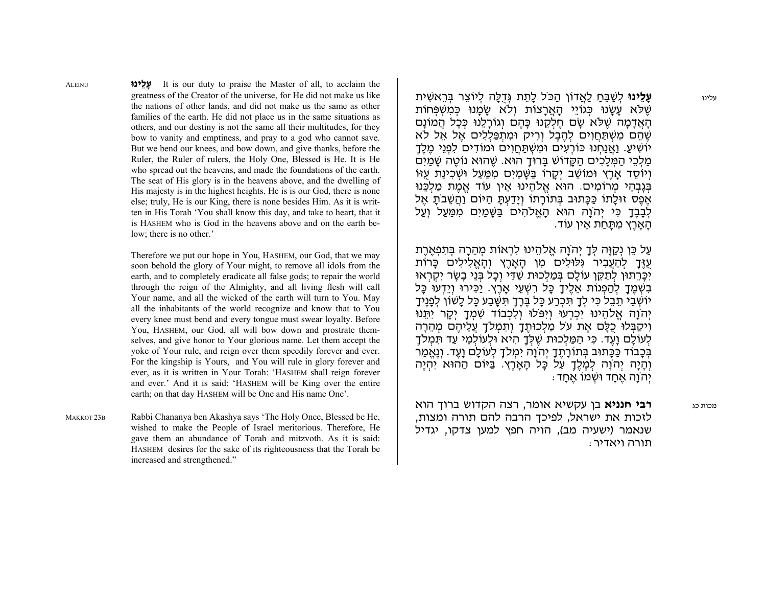עלינו **עָ לֵ ינוּ** ל ְ שַׁ בּ ַ ֵ <sup>ח</sup> לַ אֲ דוֹן הַ כֹּל לָ תֵ <sup>ת</sup> גְּ דֻלָּ <sup>ה</sup> ל ְ יוֹצֵ <sup>ר</sup> בּ ְ רֵ אשׁ ִ ית שִׁלֹּא עִשְׂנוּ כּגוֹיִי האַרצוֹת וְלֹא שָׂמְנוּ כּמְשִׁפּחוֹת הָאֲדָמָה שֶׁלֹּא שֵׂם חֵלָקֶנוּ כָּהֶם וְגוֹרָלֶנוּ כִּכָּל הֲמוֹנַם שֶׁהֵם מִשְׁתַּחֲוִים לְהֶבֶל וְרִיק וּמְתִפַּלְלִים אֱל אֱל לֹא יוֹשִׁיעַ. וַאֲנַחְנוּ כּוֹרְעִים וּמִשְׁתַּחֲוִים וּמוֹדִים לִפְנֵי מֶלֶדֶ מלכי המלכים הקדוֹש בּרוּד הוּא. שִׁהוּא נוֹטָה שִׁמִים וְיוֹסֶד אֲרֶץ וּמוֹשַׁב יִקָרוֹ בַּשַּׁמַיִם מִמַּעַל וּשְׁכִינַת עָזוֹ בִּגְבְהֵי מְרוֹמֵים. הוּא אֱלֹהֵינוּ אֵין עוֹד אֱמֶת מַלֶּכֵּנוּ אַפַס זוּלְתוֹ כַּכֵּתוּב בִּתוֹרְתוֹ וִידַעְתָּ הִיּוֹם וְהִשְׁבֹת אַל לְבָבֶדָ כִּי יְהֹוָה הוּא הָאֱלֹהִים בַּשֶּׁמַיִם מִמַּעַל וְעַל<br>הַאֲרֶץ מִתַּחַת אֵין עוֹד.

על כֵּוְ נִקְוּה לִדְ יִהֹוֹה אֲלֹהִינוּ לרְאוֹת מהרה בּתִפְארת עְזֶּךָ לִהַעֲבִיר גִּלּוּלִים מִן הָאָרֵץ וְהָאֱלִילִים כָּרוֹת יִכַּרֵתוּן לִתַּקֵּן עוֹלַם בִּמַלְכוּת שַׁדַּי וְכָל בְּנֵי בַשַּׂר יִקְרָאוּ בִשְׁמֶךָ לְהַפְנוֹת אֵלֶיךָ כָּל רִשְׁעֵי אָרֶץ. יַכִּירוּ וְיֵדְעוּ כָּל יוֹשְׁבֵי תֵבֵל כִּי לְדָ תִּכְרַע כָּל בֶּרֶדֶ תִּשָּׁבַע כָּל לָשׁוֹן לְפָנֶידָ יְהֹוַה אֱלֹהֵינוּ יִכְרְעוּ וְיִפּלוּ וְלָכְבוֹד שִׁמְךָ יִקָר יְתֵּנוּ וִיקַבְּלוּ כִלֵּם אֶת עֹל מַלְכוּתֵךָ וְתִמְלֹךָ עֲלֵיהֶם מְהֵרָה לִעוֹלִם וֹעִד. כִּי הִמֵּלְכוּת שִׁלֵּךְ הִיא וּלִעוֹלִמִי עִד תִּמְלֹךָ בְּבָבוֹד כַּכָּתוּב בְּתוֹרָתֶךָ יְהֹוָה יִמְלֹךָ לְעוֹלָם וָעֶד. וְנֶאֱמַר ּוְהָיָה יְהֹוָה לְמֶלֶךָ עַל כָּל הָאָרֶץ. בַּיּוֹם הַהוּא יִהְיֶה<br>יהוה אחד וּשׁמוֹ אחד

 כג **רבי חנניא** בן עקשיא אומר, רצה הקדוש ברוך הוא לזכות את ישראל, לפיכך הרבה להם תורה ומצות, שנאמר (ישעיה מב), הויה חפץ למען צדקו, יגדיל<br>תורה ויאדיר:

 **ינוּ ֵל ָע** It is our duty to praise the Master of all, to acclaim the greatness of the Creator of the universe, for He did not make us like the nations of other lands, and did not make us the same as other families of the earth. He did not place us in the same situations as others, and our destiny is not the same all their multitudes, for they bow to vanity and emptiness, and pray to a god who cannot save. But we bend our knees, and bow down, and give thanks, before the Ruler, the Ruler of rulers, the Holy One, Blessed is He. It is He who spread out the heavens, and made the foundations of the earth. The seat of His glory is in the heavens above, and the dwelling of His majesty is in the highest heights. He is is our God, there is none else; truly, He is our King, there is none besides Him. As it is written in His Torah 'You shall know this day, and take to heart, that it is HASHEM who is God in the heavens above and on the earth below; there is no other.'

Therefore we put our hope in You, HASHEM, our God, that we may soon behold the glory of Your might, to remove all idols from the earth, and to completely eradicate all false gods; to repair the world through the reign of the Almighty, and all living flesh will call Your name, and all the wicked of the earth will turn to You. May all the inhabitants of the world recognize and know that to You every knee must bend and every tongue must swear loyalty. Before You, HASHEM, our God, all will bow down and prostrate themselves, and give honor to Your glorious name. Let them accept the yoke of Your rule, and reign over them speedily forever and ever. For the kingship is Yours, and You will rule in glory forever and ever, as it is written in Your Torah: 'HASHEM shall reign forever and ever.' And it is said: 'HASHEM will be King over the entire earth; on that day HASHEM will be One and His name One'.

MAKKOT 23B Rabbi Chananya ben Akashya says 'The Holy Once, Blessed be He, wished to make the People of Israel meritorious. Therefore, He gave them an abundance of Torah and mitzvoth. As it is said: HASHEM desires for the sake of its righteousness that the Torah be increased and strengthened."

ALEINU

מכות